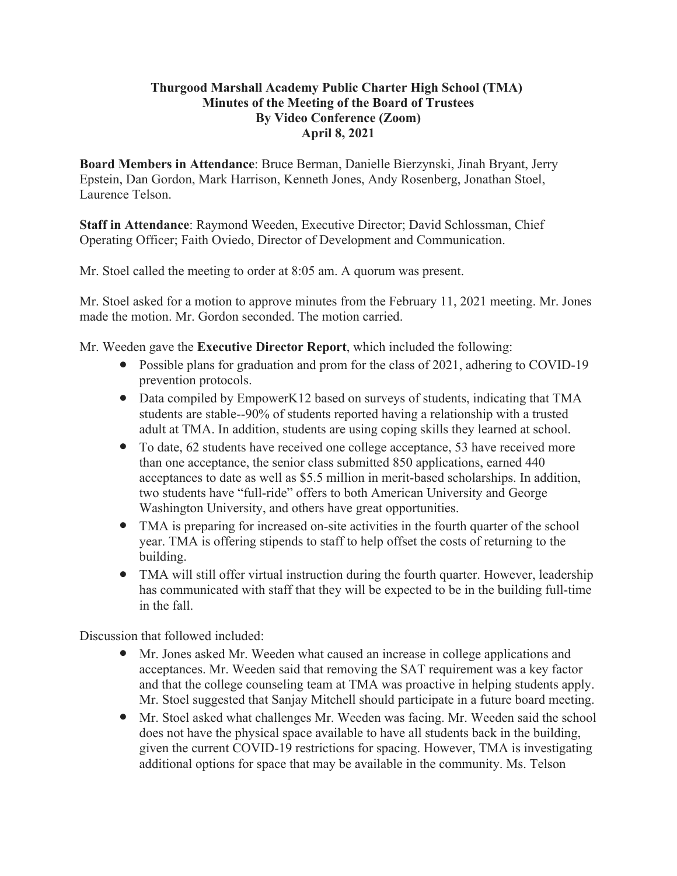## **Thurgood Marshall Academy Public Charter High School (TMA) Minutes of the Meeting of the Board of Trustees By Video Conference (Zoom) April 8, 2021**

**Board Members in Attendance**: Bruce Berman, Danielle Bierzynski, Jinah Bryant, Jerry Epstein, Dan Gordon, Mark Harrison, Kenneth Jones, Andy Rosenberg, Jonathan Stoel, Laurence Telson.

**Staff in Attendance**: Raymond Weeden, Executive Director; David Schlossman, Chief Operating Officer; Faith Oviedo, Director of Development and Communication.

Mr. Stoel called the meeting to order at 8:05 am. A quorum was present.

Mr. Stoel asked for a motion to approve minutes from the February 11, 2021 meeting. Mr. Jones made the motion. Mr. Gordon seconded. The motion carried.

Mr. Weeden gave the **Executive Director Report**, which included the following:

- Possible plans for graduation and prom for the class of 2021, adhering to COVID-19 prevention protocols.
- Data compiled by EmpowerK12 based on surveys of students, indicating that TMA students are stable--90% of students reported having a relationship with a trusted adult at TMA. In addition, students are using coping skills they learned at school.
- To date, 62 students have received one college acceptance, 53 have received more than one acceptance, the senior class submitted 850 applications, earned 440 acceptances to date as well as \$5.5 million in merit-based scholarships. In addition, two students have "full-ride" offers to both American University and George Washington University, and others have great opportunities.
- TMA is preparing for increased on-site activities in the fourth quarter of the school year. TMA is offering stipends to staff to help offset the costs of returning to the building.
- TMA will still offer virtual instruction during the fourth quarter. However, leadership has communicated with staff that they will be expected to be in the building full-time in the fall.

Discussion that followed included:

- Mr. Jones asked Mr. Weeden what caused an increase in college applications and acceptances. Mr. Weeden said that removing the SAT requirement was a key factor and that the college counseling team at TMA was proactive in helping students apply. Mr. Stoel suggested that Sanjay Mitchell should participate in a future board meeting.
- Mr. Stoel asked what challenges Mr. Weeden was facing. Mr. Weeden said the school does not have the physical space available to have all students back in the building, given the current COVID-19 restrictions for spacing. However, TMA is investigating additional options for space that may be available in the community. Ms. Telson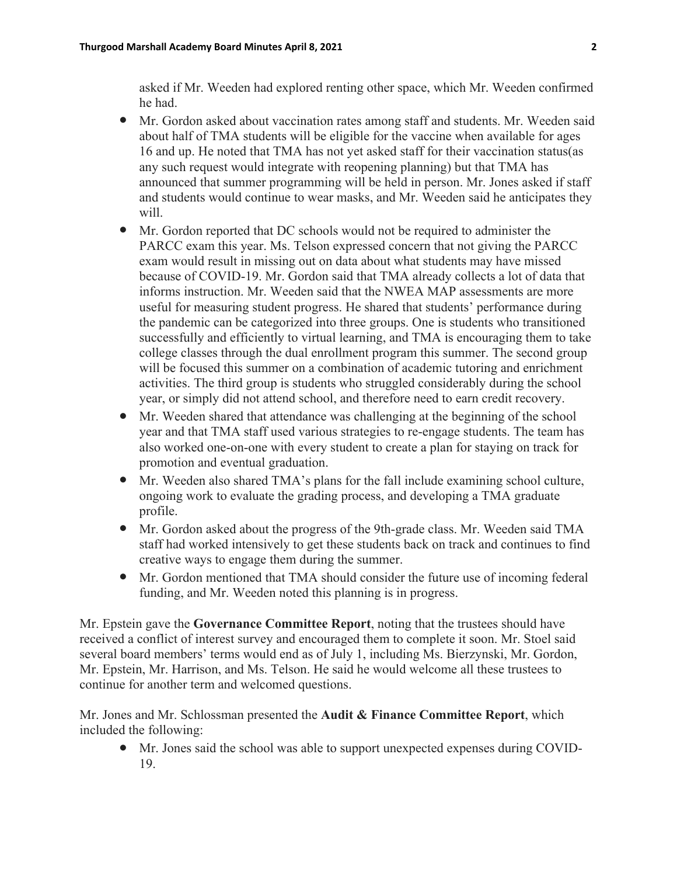asked if Mr. Weeden had explored renting other space, which Mr. Weeden confirmed he had.

- Mr. Gordon asked about vaccination rates among staff and students. Mr. Weeden said about half of TMA students will be eligible for the vaccine when available for ages 16 and up. He noted that TMA has not yet asked staff for their vaccination status(as any such request would integrate with reopening planning) but that TMA has announced that summer programming will be held in person. Mr. Jones asked if staff and students would continue to wear masks, and Mr. Weeden said he anticipates they will.
- Mr. Gordon reported that DC schools would not be required to administer the PARCC exam this year. Ms. Telson expressed concern that not giving the PARCC exam would result in missing out on data about what students may have missed because of COVID-19. Mr. Gordon said that TMA already collects a lot of data that informs instruction. Mr. Weeden said that the NWEA MAP assessments are more useful for measuring student progress. He shared that students' performance during the pandemic can be categorized into three groups. One is students who transitioned successfully and efficiently to virtual learning, and TMA is encouraging them to take college classes through the dual enrollment program this summer. The second group will be focused this summer on a combination of academic tutoring and enrichment activities. The third group is students who struggled considerably during the school year, or simply did not attend school, and therefore need to earn credit recovery.
- Mr. Weeden shared that attendance was challenging at the beginning of the school year and that TMA staff used various strategies to re-engage students. The team has also worked one-on-one with every student to create a plan for staying on track for promotion and eventual graduation.
- Mr. Weeden also shared TMA's plans for the fall include examining school culture, ongoing work to evaluate the grading process, and developing a TMA graduate profile.
- Mr. Gordon asked about the progress of the 9th-grade class. Mr. Weeden said TMA staff had worked intensively to get these students back on track and continues to find creative ways to engage them during the summer.
- Mr. Gordon mentioned that TMA should consider the future use of incoming federal funding, and Mr. Weeden noted this planning is in progress.

Mr. Epstein gave the **Governance Committee Report**, noting that the trustees should have received a conflict of interest survey and encouraged them to complete it soon. Mr. Stoel said several board members' terms would end as of July 1, including Ms. Bierzynski, Mr. Gordon, Mr. Epstein, Mr. Harrison, and Ms. Telson. He said he would welcome all these trustees to continue for another term and welcomed questions.

Mr. Jones and Mr. Schlossman presented the **Audit & Finance Committee Report**, which included the following:

● Mr. Jones said the school was able to support unexpected expenses during COVID-19.